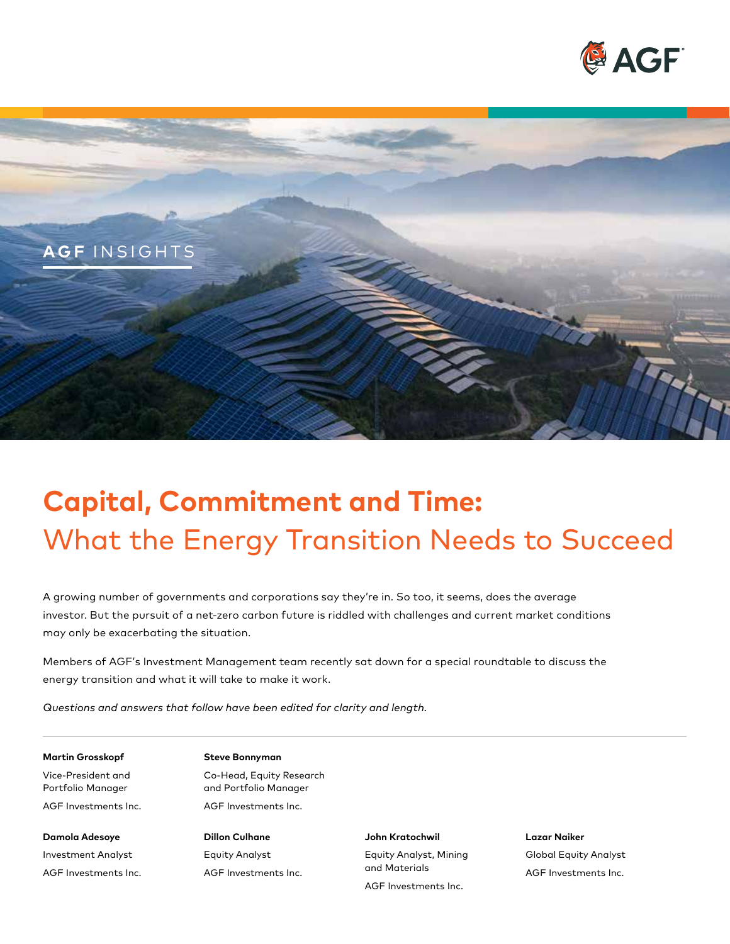



# **Capital, Commitment and Time:**  What the Energy Transition Needs to Succeed

A growing number of governments and corporations say they're in. So too, it seems, does the average investor. But the pursuit of a net-zero carbon future is riddled with challenges and current market conditions may only be exacerbating the situation.

Members of AGF's Investment Management team recently sat down for a special roundtable to discuss the energy transition and what it will take to make it work.

*Questions and answers that follow have been edited for clarity and length.*

#### **Martin Grosskopf** Steve Bonnyman

Vice-President and Co-Head, Equity Research Portfolio Manager and Portfolio Manager AGF Investments Inc. AGF Investments Inc.

**Damola Adesoye Dillon Culhane John Kratochwil Lazar Naiker** 

AGF Investments Inc.

Investment Analyst Equity Analyst Equity Analyst, Mining Global Equity Analyst and Materials AGF Investments Inc. AGF Investments Inc. AGF Investments Inc.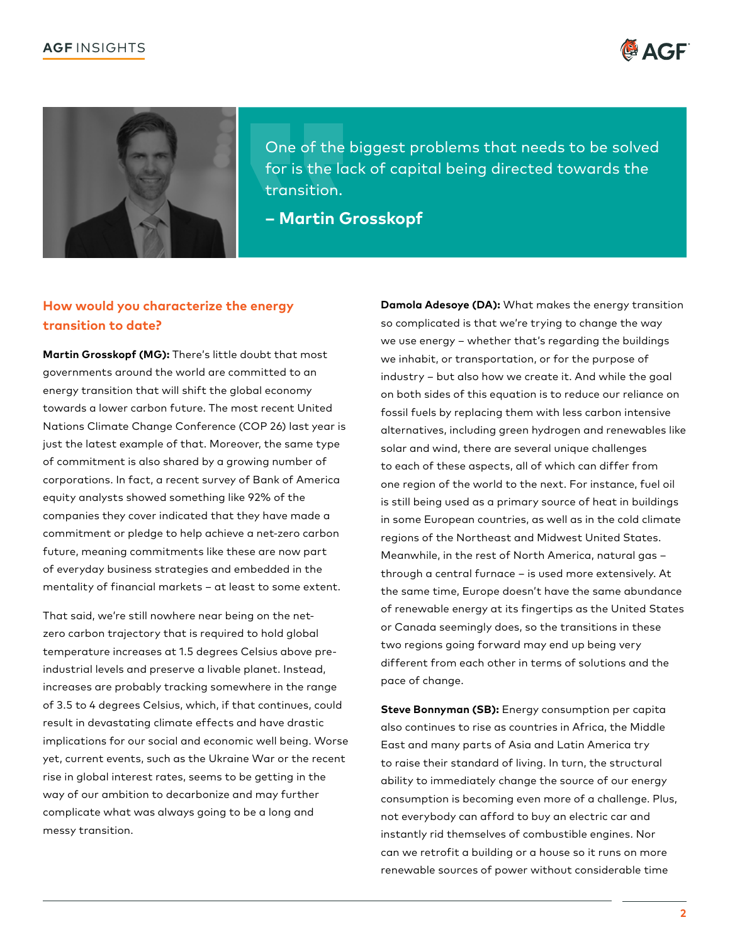



One of the biggest problems that needs to be solved for is the lack of capital being directed towards the transition.

**– Martin Grosskopf** 

## **How would you characterize the energy transition to date?**

**Martin Grosskopf (MG):** There's little doubt that most governments around the world are committed to an energy transition that will shift the global economy towards a lower carbon future. The most recent United Nations Climate Change Conference (COP 26) last year is just the latest example of that. Moreover, the same type of commitment is also shared by a growing number of corporations. In fact, a recent survey of Bank of America equity analysts showed something like 92% of the companies they cover indicated that they have made a commitment or pledge to help achieve a net-zero carbon future, meaning commitments like these are now part of everyday business strategies and embedded in the mentality of financial markets – at least to some extent.

That said, we're still nowhere near being on the netzero carbon trajectory that is required to hold global temperature increases at 1.5 degrees Celsius above preindustrial levels and preserve a livable planet. Instead, increases are probably tracking somewhere in the range of 3.5 to 4 degrees Celsius, which, if that continues, could result in devastating climate effects and have drastic implications for our social and economic well being. Worse yet, current events, such as the Ukraine War or the recent rise in global interest rates, seems to be getting in the way of our ambition to decarbonize and may further complicate what was always going to be a long and messy transition.

**Damola Adesoye (DA):** What makes the energy transition so complicated is that we're trying to change the way we use energy – whether that's regarding the buildings we inhabit, or transportation, or for the purpose of industry – but also how we create it. And while the goal on both sides of this equation is to reduce our reliance on fossil fuels by replacing them with less carbon intensive alternatives, including green hydrogen and renewables like solar and wind, there are several unique challenges to each of these aspects, all of which can differ from one region of the world to the next. For instance, fuel oil is still being used as a primary source of heat in buildings in some European countries, as well as in the cold climate regions of the Northeast and Midwest United States. Meanwhile, in the rest of North America, natural gas – through a central furnace – is used more extensively. At the same time, Europe doesn't have the same abundance of renewable energy at its fingertips as the United States or Canada seemingly does, so the transitions in these two regions going forward may end up being very different from each other in terms of solutions and the pace of change.

**Steve Bonnyman (SB):** Energy consumption per capita also continues to rise as countries in Africa, the Middle East and many parts of Asia and Latin America try to raise their standard of living. In turn, the structural ability to immediately change the source of our energy consumption is becoming even more of a challenge. Plus, not everybody can afford to buy an electric car and instantly rid themselves of combustible engines. Nor can we retrofit a building or a house so it runs on more renewable sources of power without considerable time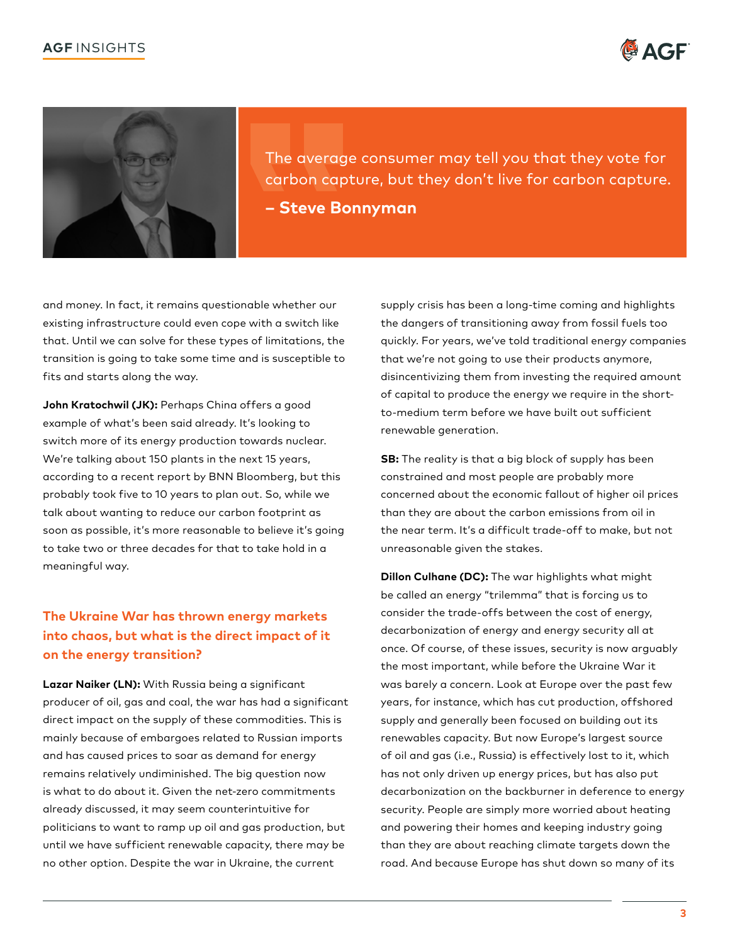



The average consumer may tell you that they vote for carbon capture, but they don't live for carbon capture. **– Steve Bonnyman**

and money. In fact, it remains questionable whether our existing infrastructure could even cope with a switch like that. Until we can solve for these types of limitations, the transition is going to take some time and is susceptible to fits and starts along the way.

**John Kratochwil (JK):** Perhaps China offers a good example of what's been said already. It's looking to switch more of its energy production towards nuclear. We're talking about 150 plants in the next 15 years, according to a recent report by BNN Bloomberg, but this probably took five to 10 years to plan out. So, while we talk about wanting to reduce our carbon footprint as soon as possible, it's more reasonable to believe it's going to take two or three decades for that to take hold in a meaningful way.

# **The Ukraine War has thrown energy markets into chaos, but what is the direct impact of it on the energy transition?**

**Lazar Naiker (LN):** With Russia being a significant producer of oil, gas and coal, the war has had a significant direct impact on the supply of these commodities. This is mainly because of embargoes related to Russian imports and has caused prices to soar as demand for energy remains relatively undiminished. The big question now is what to do about it. Given the net-zero commitments already discussed, it may seem counterintuitive for politicians to want to ramp up oil and gas production, but until we have sufficient renewable capacity, there may be no other option. Despite the war in Ukraine, the current

supply crisis has been a long-time coming and highlights the dangers of transitioning away from fossil fuels too quickly. For years, we've told traditional energy companies that we're not going to use their products anymore, disincentivizing them from investing the required amount of capital to produce the energy we require in the shortto-medium term before we have built out sufficient renewable generation.

**SB:** The reality is that a big block of supply has been constrained and most people are probably more concerned about the economic fallout of higher oil prices than they are about the carbon emissions from oil in the near term. It's a difficult trade-off to make, but not unreasonable given the stakes.

**Dillon Culhane (DC):** The war highlights what might be called an energy "trilemma" that is forcing us to consider the trade-offs between the cost of energy, decarbonization of energy and energy security all at once. Of course, of these issues, security is now arguably the most important, while before the Ukraine War it was barely a concern. Look at Europe over the past few years, for instance, which has cut production, offshored supply and generally been focused on building out its renewables capacity. But now Europe's largest source of oil and gas (i.e., Russia) is effectively lost to it, which has not only driven up energy prices, but has also put decarbonization on the backburner in deference to energy security. People are simply more worried about heating and powering their homes and keeping industry going than they are about reaching climate targets down the road. And because Europe has shut down so many of its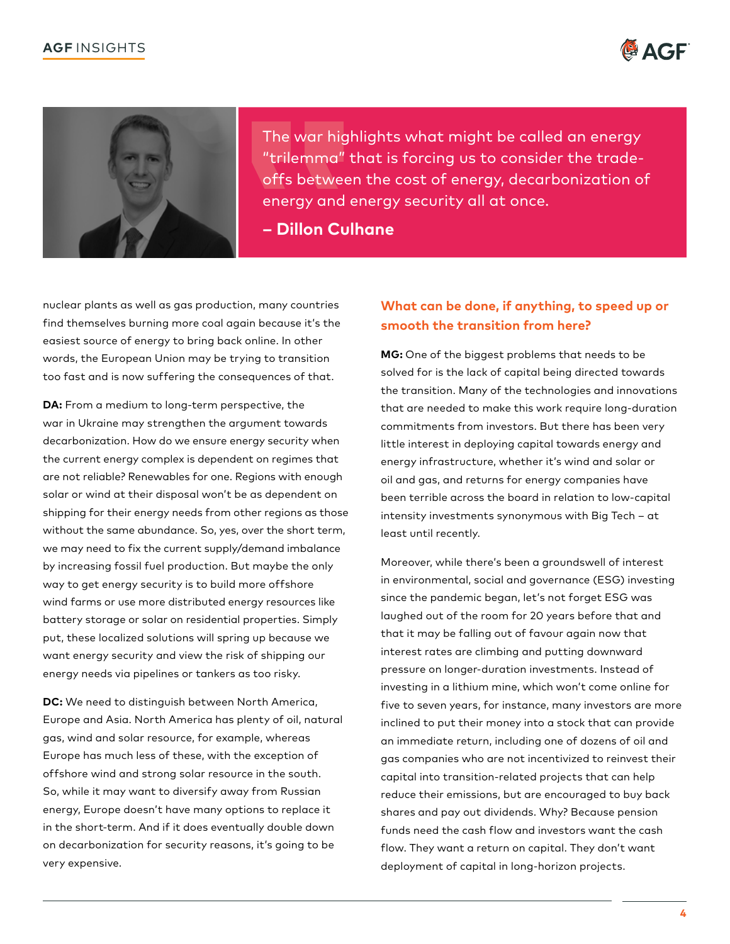



The war highlights what might be called an energy "trilemma" that is forcing us to consider the tradeoffs between the cost of energy, decarbonization of energy and energy security all at once.

**– Dillon Culhane** 

nuclear plants as well as gas production, many countries find themselves burning more coal again because it's the easiest source of energy to bring back online. In other words, the European Union may be trying to transition too fast and is now suffering the consequences of that.

**DA:** From a medium to long-term perspective, the war in Ukraine may strengthen the argument towards decarbonization. How do we ensure energy security when the current energy complex is dependent on regimes that are not reliable? Renewables for one. Regions with enough solar or wind at their disposal won't be as dependent on shipping for their energy needs from other regions as those without the same abundance. So, yes, over the short term, we may need to fix the current supply/demand imbalance by increasing fossil fuel production. But maybe the only way to get energy security is to build more offshore wind farms or use more distributed energy resources like battery storage or solar on residential properties. Simply put, these localized solutions will spring up because we want energy security and view the risk of shipping our energy needs via pipelines or tankers as too risky.

**DC:** We need to distinguish between North America, Europe and Asia. North America has plenty of oil, natural gas, wind and solar resource, for example, whereas Europe has much less of these, with the exception of offshore wind and strong solar resource in the south. So, while it may want to diversify away from Russian energy, Europe doesn't have many options to replace it in the short-term. And if it does eventually double down on decarbonization for security reasons, it's going to be very expensive.

# **What can be done, if anything, to speed up or smooth the transition from here?**

**MG:** One of the biggest problems that needs to be solved for is the lack of capital being directed towards the transition. Many of the technologies and innovations that are needed to make this work require long-duration commitments from investors. But there has been very little interest in deploying capital towards energy and energy infrastructure, whether it's wind and solar or oil and gas, and returns for energy companies have been terrible across the board in relation to low-capital intensity investments synonymous with Big Tech – at least until recently.

Moreover, while there's been a groundswell of interest in environmental, social and governance (ESG) investing since the pandemic began, let's not forget ESG was laughed out of the room for 20 years before that and that it may be falling out of favour again now that interest rates are climbing and putting downward pressure on longer-duration investments. Instead of investing in a lithium mine, which won't come online for five to seven years, for instance, many investors are more inclined to put their money into a stock that can provide an immediate return, including one of dozens of oil and gas companies who are not incentivized to reinvest their capital into transition-related projects that can help reduce their emissions, but are encouraged to buy back shares and pay out dividends. Why? Because pension funds need the cash flow and investors want the cash flow. They want a return on capital. They don't want deployment of capital in long-horizon projects.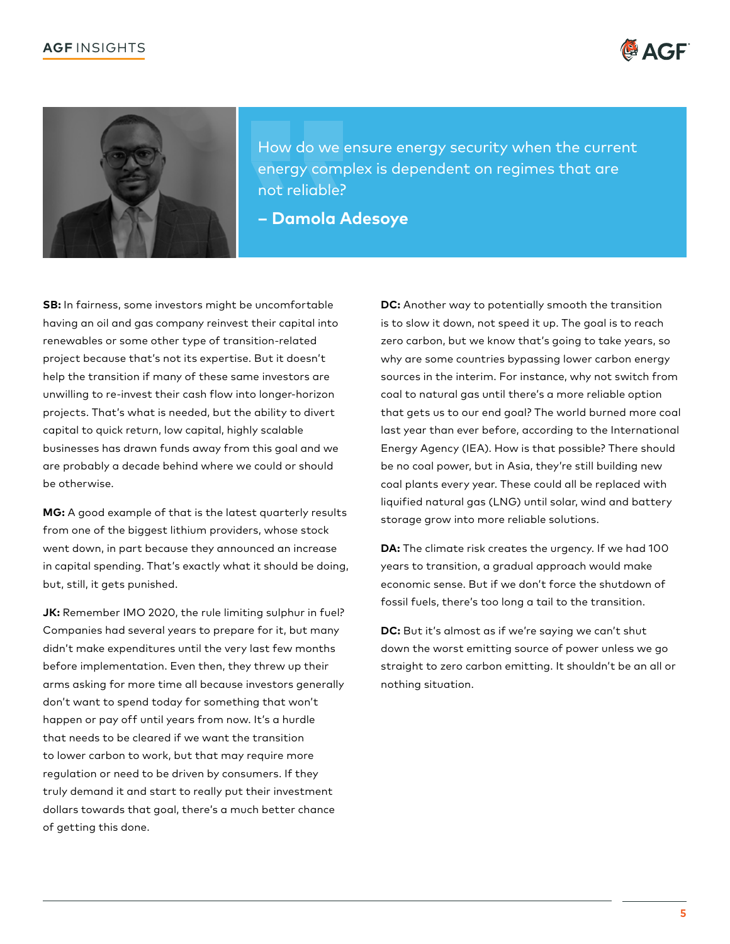



How do we ensure energy security when the current energy complex is dependent on regimes that are not reliable?

**– Damola Adesoye** 

**SB:** In fairness, some investors might be uncomfortable having an oil and gas company reinvest their capital into renewables or some other type of transition-related project because that's not its expertise. But it doesn't help the transition if many of these same investors are unwilling to re-invest their cash flow into longer-horizon projects. That's what is needed, but the ability to divert capital to quick return, low capital, highly scalable businesses has drawn funds away from this goal and we are probably a decade behind where we could or should be otherwise.

**MG:** A good example of that is the latest quarterly results from one of the biggest lithium providers, whose stock went down, in part because they announced an increase in capital spending. That's exactly what it should be doing, but, still, it gets punished.

**JK:** Remember IMO 2020, the rule limiting sulphur in fuel? Companies had several years to prepare for it, but many didn't make expenditures until the very last few months before implementation. Even then, they threw up their arms asking for more time all because investors generally don't want to spend today for something that won't happen or pay off until years from now. It's a hurdle that needs to be cleared if we want the transition to lower carbon to work, but that may require more regulation or need to be driven by consumers. If they truly demand it and start to really put their investment dollars towards that goal, there's a much better chance of getting this done.

**DC:** Another way to potentially smooth the transition is to slow it down, not speed it up. The goal is to reach zero carbon, but we know that's going to take years, so why are some countries bypassing lower carbon energy sources in the interim. For instance, why not switch from coal to natural gas until there's a more reliable option that gets us to our end goal? The world burned more coal last year than ever before, according to the International Energy Agency (IEA). How is that possible? There should be no coal power, but in Asia, they're still building new coal plants every year. These could all be replaced with liquified natural gas (LNG) until solar, wind and battery storage grow into more reliable solutions.

**DA:** The climate risk creates the urgency. If we had 100 years to transition, a gradual approach would make economic sense. But if we don't force the shutdown of fossil fuels, there's too long a tail to the transition.

**DC:** But it's almost as if we're saying we can't shut down the worst emitting source of power unless we go straight to zero carbon emitting. It shouldn't be an all or nothing situation.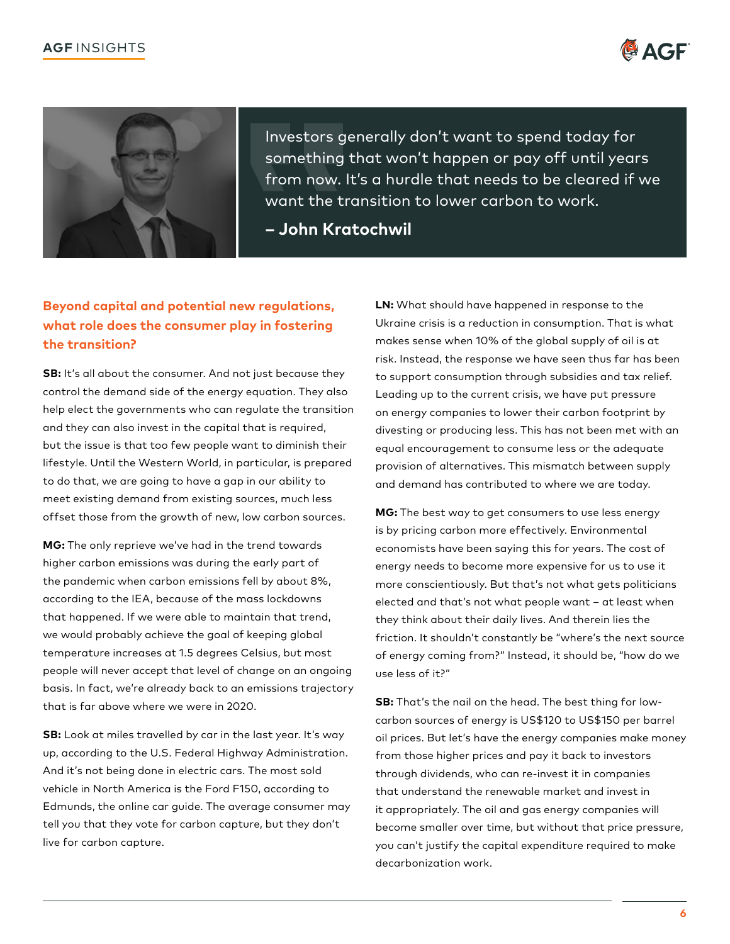



Investors generally don't want to spend today for something that won't happen or pay off until years from now. It's a hurdle that needs to be cleared if we want the transition to lower carbon to work.

**– John Kratochwil**

# **Beyond capital and potential new regulations, what role does the consumer play in fostering the transition?**

**SB:** It's all about the consumer. And not just because they control the demand side of the energy equation. They also help elect the governments who can regulate the transition and they can also invest in the capital that is required, but the issue is that too few people want to diminish their lifestyle. Until the Western World, in particular, is prepared to do that, we are going to have a gap in our ability to meet existing demand from existing sources, much less offset those from the growth of new, low carbon sources.

**MG:** The only reprieve we've had in the trend towards higher carbon emissions was during the early part of the pandemic when carbon emissions fell by about 8%, according to the IEA, because of the mass lockdowns that happened. If we were able to maintain that trend, we would probably achieve the goal of keeping global temperature increases at 1.5 degrees Celsius, but most people will never accept that level of change on an ongoing basis. In fact, we're already back to an emissions trajectory that is far above where we were in 2020.

**SB:** Look at miles travelled by car in the last year. It's way up, according to the U.S. Federal Highway Administration. And it's not being done in electric cars. The most sold vehicle in North America is the Ford F150, according to Edmunds, the online car guide. The average consumer may tell you that they vote for carbon capture, but they don't live for carbon capture.

**LN:** What should have happened in response to the Ukraine crisis is a reduction in consumption. That is what makes sense when 10% of the global supply of oil is at risk. Instead, the response we have seen thus far has been to support consumption through subsidies and tax relief. Leading up to the current crisis, we have put pressure on energy companies to lower their carbon footprint by divesting or producing less. This has not been met with an equal encouragement to consume less or the adequate provision of alternatives. This mismatch between supply and demand has contributed to where we are today.

**MG:** The best way to get consumers to use less energy is by pricing carbon more effectively. Environmental economists have been saying this for years. The cost of energy needs to become more expensive for us to use it more conscientiously. But that's not what gets politicians elected and that's not what people want – at least when they think about their daily lives. And therein lies the friction. It shouldn't constantly be "where's the next source of energy coming from?" Instead, it should be, "how do we use less of it?"

**SB:** That's the nail on the head. The best thing for lowcarbon sources of energy is US\$120 to US\$150 per barrel oil prices. But let's have the energy companies make money from those higher prices and pay it back to investors through dividends, who can re-invest it in companies that understand the renewable market and invest in it appropriately. The oil and gas energy companies will become smaller over time, but without that price pressure, you can't justify the capital expenditure required to make decarbonization work.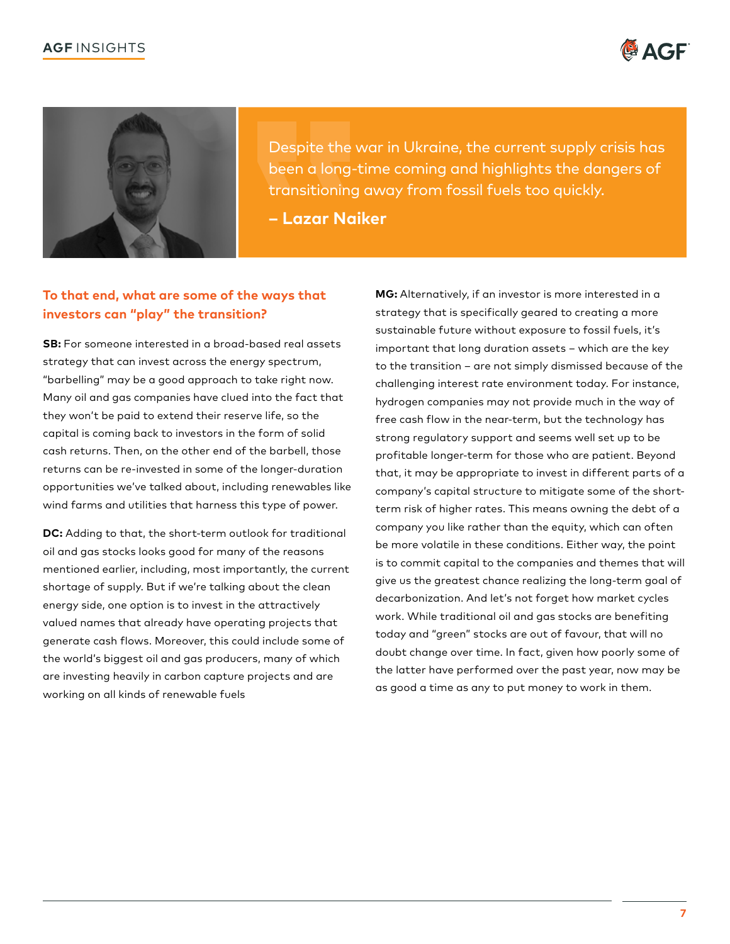



Despite the war in Ukraine, the current supply crisis has been a long-time coming and highlights the dangers of transitioning away from fossil fuels too quickly.

**– Lazar Naiker** 

# **To that end, what are some of the ways that investors can "play" the transition?**

**SB:** For someone interested in a broad-based real assets strategy that can invest across the energy spectrum, "barbelling" may be a good approach to take right now. Many oil and gas companies have clued into the fact that they won't be paid to extend their reserve life, so the capital is coming back to investors in the form of solid cash returns. Then, on the other end of the barbell, those returns can be re-invested in some of the longer-duration opportunities we've talked about, including renewables like wind farms and utilities that harness this type of power.

**DC:** Adding to that, the short-term outlook for traditional oil and gas stocks looks good for many of the reasons mentioned earlier, including, most importantly, the current shortage of supply. But if we're talking about the clean energy side, one option is to invest in the attractively valued names that already have operating projects that generate cash flows. Moreover, this could include some of the world's biggest oil and gas producers, many of which are investing heavily in carbon capture projects and are working on all kinds of renewable fuels

**MG:** Alternatively, if an investor is more interested in a strategy that is specifically geared to creating a more sustainable future without exposure to fossil fuels, it's important that long duration assets – which are the key to the transition – are not simply dismissed because of the challenging interest rate environment today. For instance, hydrogen companies may not provide much in the way of free cash flow in the near-term, but the technology has strong regulatory support and seems well set up to be profitable longer-term for those who are patient. Beyond that, it may be appropriate to invest in different parts of a company's capital structure to mitigate some of the shortterm risk of higher rates. This means owning the debt of a company you like rather than the equity, which can often be more volatile in these conditions. Either way, the point is to commit capital to the companies and themes that will give us the greatest chance realizing the long-term goal of decarbonization. And let's not forget how market cycles work. While traditional oil and gas stocks are benefiting today and "green" stocks are out of favour, that will no doubt change over time. In fact, given how poorly some of the latter have performed over the past year, now may be as good a time as any to put money to work in them.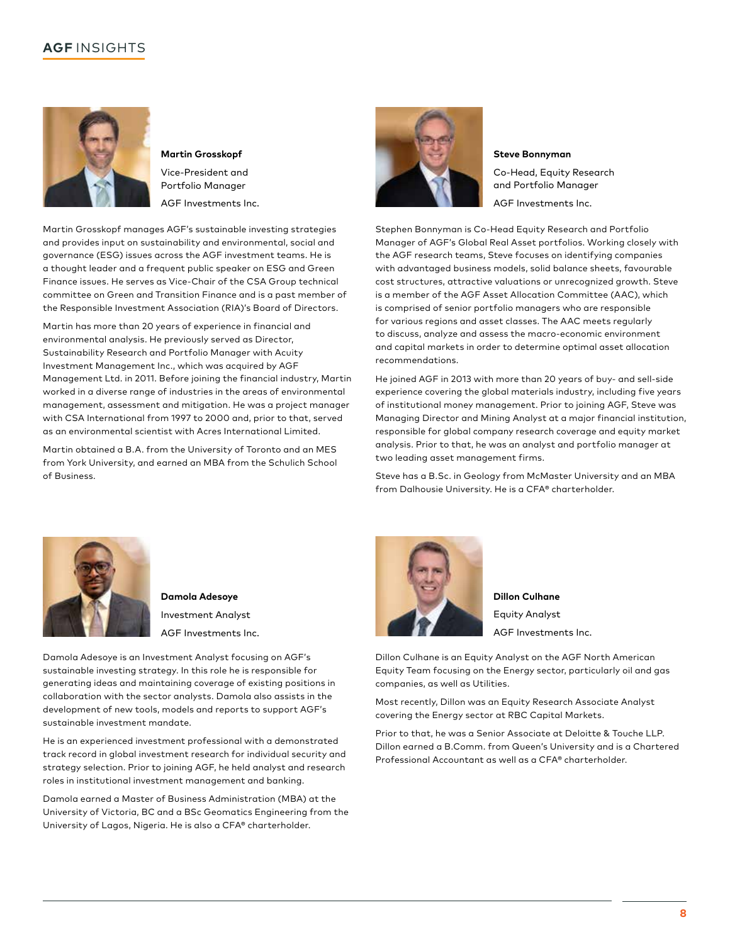

**Martin Grosskopf**  Vice-President and Portfolio Manager AGF Investments Inc.

Martin Grosskopf manages AGF's sustainable investing strategies and provides input on sustainability and environmental, social and governance (ESG) issues across the AGF investment teams. He is a thought leader and a frequent public speaker on ESG and Green Finance issues. He serves as Vice-Chair of the CSA Group technical committee on Green and Transition Finance and is a past member of the Responsible Investment Association (RIA)'s Board of Directors.

Martin has more than 20 years of experience in financial and environmental analysis. He previously served as Director, Sustainability Research and Portfolio Manager with Acuity Investment Management Inc., which was acquired by AGF Management Ltd. in 2011. Before joining the financial industry, Martin worked in a diverse range of industries in the areas of environmental management, assessment and mitigation. He was a project manager with CSA International from 1997 to 2000 and, prior to that, served as an environmental scientist with Acres International Limited.

Martin obtained a B.A. from the University of Toronto and an MES from York University, and earned an MBA from the Schulich School of Business.



**Steve Bonnyman** 

Co-Head, Equity Research and Portfolio Manager AGF Investments Inc.

Stephen Bonnyman is Co-Head Equity Research and Portfolio Manager of AGF's Global Real Asset portfolios. Working closely with the AGF research teams, Steve focuses on identifying companies with advantaged business models, solid balance sheets, favourable cost structures, attractive valuations or unrecognized growth. Steve is a member of the AGF Asset Allocation Committee (AAC), which is comprised of senior portfolio managers who are responsible for various regions and asset classes. The AAC meets regularly to discuss, analyze and assess the macro-economic environment and capital markets in order to determine optimal asset allocation recommendations.

He joined AGF in 2013 with more than 20 years of buy- and sell-side experience covering the global materials industry, including five years of institutional money management. Prior to joining AGF, Steve was Managing Director and Mining Analyst at a major financial institution, responsible for global company research coverage and equity market analysis. Prior to that, he was an analyst and portfolio manager at two leading asset management firms.

Steve has a B.Sc. in Geology from McMaster University and an MBA from Dalhousie University. He is a CFA® charterholder.



**Damola Adesoye**  Investment Analyst AGF Investments Inc.

Damola Adesoye is an Investment Analyst focusing on AGF's sustainable investing strategy. In this role he is responsible for generating ideas and maintaining coverage of existing positions in collaboration with the sector analysts. Damola also assists in the development of new tools, models and reports to support AGF's sustainable investment mandate.

He is an experienced investment professional with a demonstrated track record in global investment research for individual security and strategy selection. Prior to joining AGF, he held analyst and research roles in institutional investment management and banking.

Damola earned a Master of Business Administration (MBA) at the University of Victoria, BC and a BSc Geomatics Engineering from the University of Lagos, Nigeria. He is also a CFA® charterholder.



**Dillon Culhane**  Equity Analyst AGF Investments Inc.

Dillon Culhane is an Equity Analyst on the AGF North American Equity Team focusing on the Energy sector, particularly oil and gas companies, as well as Utilities.

Most recently, Dillon was an Equity Research Associate Analyst covering the Energy sector at RBC Capital Markets.

Prior to that, he was a Senior Associate at Deloitte & Touche LLP. Dillon earned a B.Comm. from Queen's University and is a Chartered Professional Accountant as well as a CFA® charterholder.